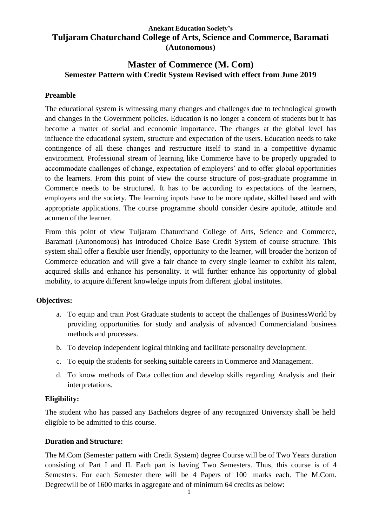# **Anekant Education Society's Tuljaram Chaturchand College of Arts, Science and Commerce, Baramati (Autonomous)**

# **Master of Commerce (M. Com) Semester Pattern with Credit System Revised with effect from June 2019**

### **Preamble**

The educational system is witnessing many changes and challenges due to technological growth and changes in the Government policies. Education is no longer a concern of students but it has become a matter of social and economic importance. The changes at the global level has influence the educational system, structure and expectation of the users. Education needs to take contingence of all these changes and restructure itself to stand in a competitive dynamic environment. Professional stream of learning like Commerce have to be properly upgraded to accommodate challenges of change, expectation of employers' and to offer global opportunities to the learners. From this point of view the course structure of post-graduate programme in Commerce needs to be structured. It has to be according to expectations of the learners, employers and the society. The learning inputs have to be more update, skilled based and with appropriate applications. The course programme should consider desire aptitude, attitude and acumen of the learner.

From this point of view Tuljaram Chaturchand College of Arts, Science and Commerce, Baramati (Autonomous) has introduced Choice Base Credit System of course structure. This system shall offer a flexible user friendly, opportunity to the learner, will broader the horizon of Commerce education and will give a fair chance to every single learner to exhibit his talent, acquired skills and enhance his personality. It will further enhance his opportunity of global mobility, to acquire different knowledge inputs from different global institutes.

### **Objectives:**

- a. To equip and train Post Graduate students to accept the challenges of BusinessWorld by providing opportunities for study and analysis of advanced Commercialand business methods and processes.
- b. To develop independent logical thinking and facilitate personality development.
- c. To equip the students for seeking suitable careers in Commerce and Management.
- d. To know methods of Data collection and develop skills regarding Analysis and their interpretations.

### **Eligibility:**

The student who has passed any Bachelors degree of any recognized University shall be held eligible to be admitted to this course.

### **Duration and Structure:**

The M.Com (Semester pattern with Credit System) degree Course will be of Two Years duration consisting of Part I and II. Each part is having Two Semesters. Thus, this course is of 4 Semesters. For each Semester there will be 4 Papers of 100 marks each. The M.Com. Degreewill be of 1600 marks in aggregate and of minimum 64 credits as below: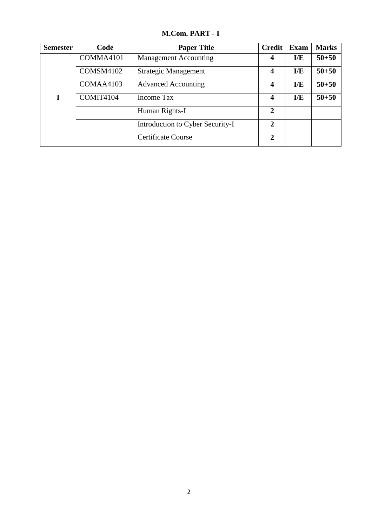**M.Com. PART - I**

| <b>Semester</b> | Code      | <b>Paper Title</b>               | <b>Credit</b>  | <b>Exam</b> | <b>Marks</b> |
|-----------------|-----------|----------------------------------|----------------|-------------|--------------|
|                 | COMMA4101 | <b>Management Accounting</b>     | 4              | E/E         | $50 + 50$    |
|                 | COMSM4102 | Strategic Management             | 4              | I/E         | $50 + 50$    |
|                 | COMAA4103 | <b>Advanced Accounting</b>       | 4              | E/E         | $50 + 50$    |
|                 | COMIT4104 | Income Tax                       | 4              | I/E         | $50 + 50$    |
|                 |           | Human Rights-I                   | $\mathbf{2}$   |             |              |
|                 |           | Introduction to Cyber Security-I | $\overline{2}$ |             |              |
|                 |           | <b>Certificate Course</b>        | $\overline{2}$ |             |              |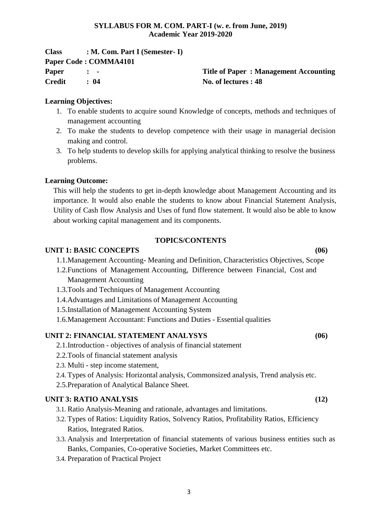### **SYLLABUS FOR M. COM. PART-I (w. e. from June, 2019) Academic Year 2019-2020**

| <b>Class</b>  | $: M. Com. Part I (Semester-I)$ |                                              |
|---------------|---------------------------------|----------------------------------------------|
|               | Paper Code: COMMA4101           |                                              |
| Paper         | $\mathbf{r}$ $\mathbf{r}$       | <b>Title of Paper: Management Accounting</b> |
| <b>Credit</b> | : 04                            | No. of lectures : 48                         |

### **Learning Objectives:**

- 1. To enable students to acquire sound Knowledge of concepts, methods and techniques of management accounting
- 2. To make the students to develop competence with their usage in managerial decision making and control.
- 3. To help students to develop skills for applying analytical thinking to resolve the business problems.

### **Learning Outcome:**

This will help the students to get in-depth knowledge about Management Accounting and its importance. It would also enable the students to know about Financial Statement Analysis, Utility of Cash flow Analysis and Uses of fund flow statement. It would also be able to know about working capital management and its components.

### **TOPICS/CONTENTS**

### **UNIT 1: BASIC CONCEPTS (06)**

- 
- 1.1.Management Accounting- Meaning and Definition, Characteristics Objectives, Scope 1.2.Functions of Management Accounting, Difference between Financial, Cost and Management Accounting
- 1.3.Tools and Techniques of Management Accounting
- 1.4.Advantages and Limitations of Management Accounting
- 1.5.Installation of Management Accounting System
- 1.6.Management Accountant: Functions and Duties Essential qualities

### **UNIT 2: FINANCIAL STATEMENT ANALYSYS (06)**

- 2.1.Introduction objectives of analysis of financial statement
- 2.2.Tools of financial statement analysis
- 2.3. Multi step income statement,
- 2.4. Types of Analysis: Horizontal analysis, Commonsized analysis, Trend analysis etc.
- 2.5.Preparation of Analytical Balance Sheet.

### **UNIT 3: RATIO ANALYSIS (12)**

- 3.1. Ratio Analysis-Meaning and rationale, advantages and limitations.
- 3.2. Types of Ratios: Liquidity Ratios, Solvency Ratios, Profitability Ratios, Efficiency Ratios, Integrated Ratios.
- 3.3. Analysis and Interpretation of financial statements of various business entities such as Banks, Companies, Co-operative Societies, Market Committees etc.
- 3.4. Preparation of Practical Project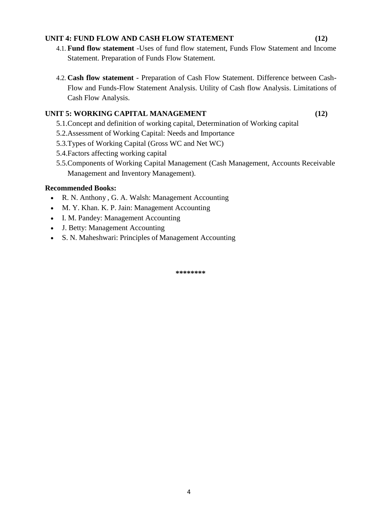### **UNIT 4: FUND FLOW AND CASH FLOW STATEMENT (12)**

- 4.1. **Fund flow statement** -Uses of fund flow statement, Funds Flow Statement and Income Statement. Preparation of Funds Flow Statement.
- 4.2. **Cash flow statement**  Preparation of Cash Flow Statement. Difference between Cash-Flow and Funds-Flow Statement Analysis. Utility of Cash flow Analysis. Limitations of Cash Flow Analysis.

# **UNIT 5: WORKING CAPITAL MANAGEMENT (12)**

- 5.1.Concept and definition of working capital, Determination of Working capital
- 5.2.Assessment of Working Capital: Needs and Importance
- 5.3.Types of Working Capital (Gross WC and Net WC)
- 5.4.Factors affecting working capital
- 5.5.Components of Working Capital Management (Cash Management, Accounts Receivable Management and Inventory Management).

### **Recommended Books:**

- R. N. Anthony , G. A. Walsh: Management Accounting
- M. Y. Khan. K. P. Jain: Management Accounting
- I. M. Pandey: Management Accounting
- J. Betty: Management Accounting
- S. N. Maheshwari: Principles of Management Accounting

**\*\*\*\*\*\*\*\***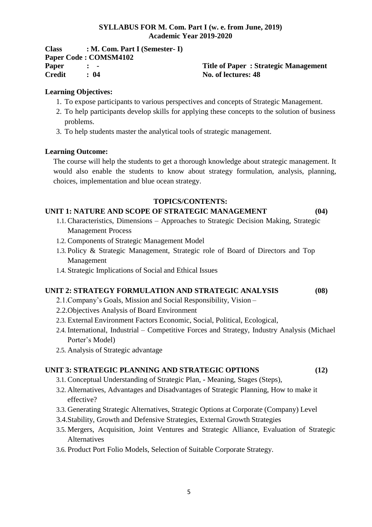### **SYLLABUS FOR M. Com. Part I (w. e. from June, 2019) Academic Year 2019-2020**

| <b>Class</b>  | $: M. Com. Part I (Semester-I)$ |
|---------------|---------------------------------|
|               | Paper Code: COMSM4102           |
| <b>Paper</b>  | $\mathbf{r}$ $\mathbf{r}$       |
| <b>Credit</b> | : 04                            |

**Paper : - Title of Paper : Strategic Management Credit : 04 No. of lectures: 48**

### **Learning Objectives:**

- 1. To expose participants to various perspectives and concepts of Strategic Management.
- 2. To help participants develop skills for applying these concepts to the solution of business problems.
- 3. To help students master the analytical tools of strategic management.

### **Learning Outcome:**

The course will help the students to get a thorough knowledge about strategic management. It would also enable the students to know about strategy formulation, analysis, planning, choices, implementation and blue ocean strategy.

### **TOPICS/CONTENTS:**

# **UNIT 1: NATURE AND SCOPE OF STRATEGIC MANAGEMENT (04)**

- 1.1. Characteristics, Dimensions Approaches to Strategic Decision Making, Strategic Management Process
- 1.2. Components of Strategic Management Model
- 1.3. Policy & Strategic Management, Strategic role of Board of Directors and Top Management
- 1.4. Strategic Implications of Social and Ethical Issues

# **UNIT 2: STRATEGY FORMULATION AND STRATEGIC ANALYSIS (08)**

- 2.1.Company's Goals, Mission and Social Responsibility, Vision –
- 2.2.Objectives Analysis of Board Environment
- 2.3. External Environment Factors Economic, Social, Political, Ecological,
- 2.4. International, Industrial Competitive Forces and Strategy, Industry Analysis (Michael Porter's Model)
- 2.5. Analysis of Strategic advantage

### **UNIT 3: STRATEGIC PLANNING AND STRATEGIC OPTIONS (12)**

- 3.1. Conceptual Understanding of Strategic Plan, Meaning, Stages (Steps),
- 3.2. Alternatives, Advantages and Disadvantages of Strategic Planning, How to make it effective?
- 3.3. Generating Strategic Alternatives, Strategic Options at Corporate (Company) Level
- 3.4.Stability, Growth and Defensive Strategies, External Growth Strategies
- 3.5. Mergers, Acquisition, Joint Ventures and Strategic Alliance, Evaluation of Strategic Alternatives
- 3.6. Product Port Folio Models, Selection of Suitable Corporate Strategy.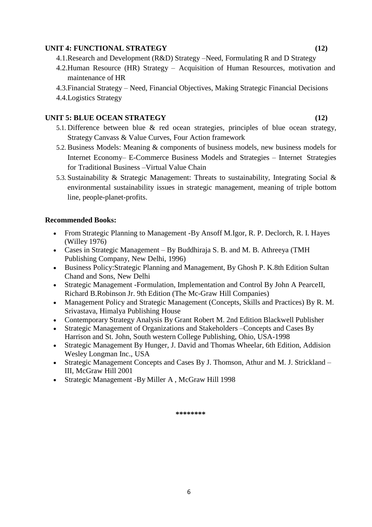### **UNIT 4: FUNCTIONAL STRATEGY (12)**

- 4.1.Research and Development (R&D) Strategy –Need, Formulating R and D Strategy
- 4.2.Human Resource (HR) Strategy Acquisition of Human Resources, motivation and maintenance of HR
- 4.3.Financial Strategy Need, Financial Objectives, Making Strategic Financial Decisions
- 4.4.Logistics Strategy

### **UNIT 5: BLUE OCEAN STRATEGY (12)**

- 5.1. Difference between blue & red ocean strategies, principles of blue ocean strategy, Strategy Canvass & Value Curves, Four Action framework
- 5.2. Business Models: Meaning & components of business models, new business models for Internet Economy– E-Commerce Business Models and Strategies – Internet Strategies for Traditional Business –Virtual Value Chain
- 5.3. Sustainability & Strategic Management: Threats to sustainability, Integrating Social & environmental sustainability issues in strategic management, meaning of triple bottom line, people-planet-profits.

### **Recommended Books:**

- From Strategic Planning to Management -By Ansoff M.Igor, R. P. Declorch, R. I. Hayes (Willey 1976)
- Cases in Strategic Management By Buddhiraja S. B. and M. B. Athreeya (TMH Publishing Company, New Delhi, 1996)
- Business Policy:Strategic Planning and Management, By Ghosh P. K.8th Edition Sultan Chand and Sons, New Delhi
- Strategic Management -Formulation, Implementation and Control By John A PearceII, Richard B.Robinson Jr. 9th Edition (The Mc-Graw Hill Companies)
- Management Policy and Strategic Management (Concepts, Skills and Practices) By R. M. Srivastava, Himalya Publishing House
- Contemporary Strategy Analysis By Grant Robert M. 2nd Edition Blackwell Publisher
- Strategic Management of Organizations and Stakeholders –Concepts and Cases By Harrison and St. John, South western College Publishing, Ohio, USA-1998
- Strategic Management By Hunger, J. David and Thomas Wheelar, 6th Edition, Addision Wesley Longman Inc., USA
- Strategic Management Concepts and Cases By J. Thomson, Athur and M. J. Strickland III, McGraw Hill 2001
- Strategic Management -By Miller A , McGraw Hill 1998

**\*\*\*\*\*\*\*\***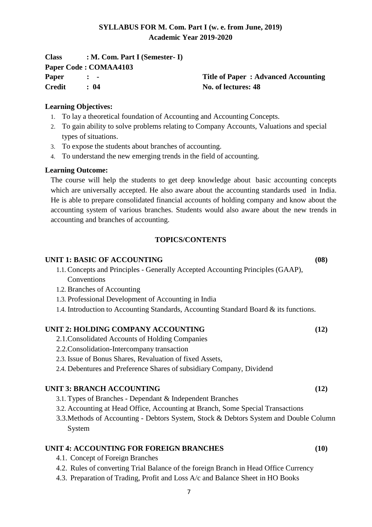# **SYLLABUS FOR M. Com. Part I (w. e. from June, 2019) Academic Year 2019-2020**

| <b>Class</b> | $: M. Com. Part I (Semester-I)$ |                                            |
|--------------|---------------------------------|--------------------------------------------|
|              | Paper Code: COMAA4103           |                                            |
| Paper        | $\mathbf{r}$ $\mathbf{r}$       | <b>Title of Paper: Advanced Accounting</b> |
| Credit       | : 04                            | No. of lectures: 48                        |

### **Learning Objectives:**

- 1. To lay a theoretical foundation of Accounting and Accounting Concepts.
- 2. To gain ability to solve problems relating to Company Accounts, Valuations and special types of situations.
- 3. To expose the students about branches of accounting.
- 4. To understand the new emerging trends in the field of accounting.

### **Learning Outcome:**

The course will help the students to get deep knowledge about basic accounting concepts which are universally accepted. He also aware about the accounting standards used in India. He is able to prepare consolidated financial accounts of holding company and know about the accounting system of various branches. Students would also aware about the new trends in accounting and branches of accounting.

### **TOPICS/CONTENTS**

### **UNIT 1: BASIC OF ACCOUNTING (08)**

- 1.1. Concepts and Principles Generally Accepted Accounting Principles (GAAP), **Conventions**
- 1.2. Branches of Accounting
- 1.3. Professional Development of Accounting in India
- 1.4. Introduction to Accounting Standards, Accounting Standard Board & its functions.

### **UNIT 2: HOLDING COMPANY ACCOUNTING (12)**

- 2.1.Consolidated Accounts of Holding Companies
- 2.2.Consolidation-Intercompany transaction
- 2.3. Issue of Bonus Shares, Revaluation of fixed Assets,
- 2.4. Debentures and Preference Shares of subsidiary Company, Dividend

### **UNIT 3: BRANCH ACCOUNTING (12)**

- 3.1. Types of Branches Dependant & Independent Branches
- 3.2. Accounting at Head Office, Accounting at Branch, Some Special Transactions
- 3.3.Methods of Accounting Debtors System, Stock & Debtors System and Double Column System

### **UNIT 4: ACCOUNTING FOR FOREIGN BRANCHES (10)**

- 4.1. Concept of Foreign Branches
- 4.2. Rules of converting Trial Balance of the foreign Branch in Head Office Currency
- 4.3. Preparation of Trading, Profit and Loss A/c and Balance Sheet in HO Books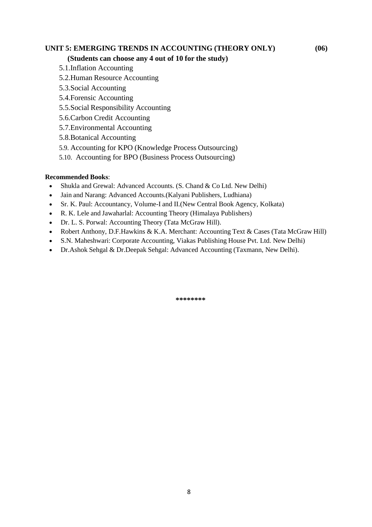# **UNIT 5: EMERGING TRENDS IN ACCOUNTING (THEORY ONLY) (06)**

### **(Students can choose any 4 out of 10 for the study)**

- 5.1.Inflation Accounting
- 5.2.Human Resource Accounting
- 5.3.Social Accounting
- 5.4.Forensic Accounting
- 5.5.Social Responsibility Accounting
- 5.6.Carbon Credit Accounting
- 5.7.Environmental Accounting
- 5.8.Botanical Accounting
- 5.9. Accounting for KPO (Knowledge Process Outsourcing)
- 5.10. Accounting for BPO (Business Process Outsourcing)

### **Recommended Books**:

- Shukla and Grewal: Advanced Accounts. (S. Chand & Co Ltd. New Delhi)
- Jain and Narang: Advanced Accounts.(Kalyani Publishers, Ludhiana)
- Sr. K. Paul: Accountancy, Volume-I and II.(New Central Book Agency, Kolkata)
- R. K. Lele and Jawaharlal: Accounting Theory (Himalaya Publishers)
- Dr. L. S. Porwal: Accounting Theory (Tata McGraw Hill).
- Robert Anthony, D.F.Hawkins & K.A. Merchant: Accounting Text & Cases (Tata McGraw Hill)
- S.N. Maheshwari: Corporate Accounting, Viakas Publishing House Pvt. Ltd. New Delhi)
- Dr.Ashok Sehgal & Dr.Deepak Sehgal: Advanced Accounting (Taxmann, New Delhi).

**\*\*\*\*\*\*\*\***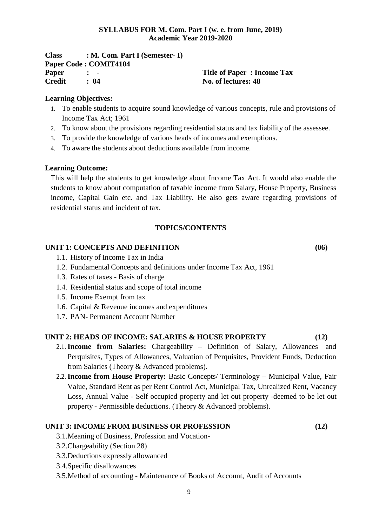### **SYLLABUS FOR M. Com. Part I (w. e. from June, 2019) Academic Year 2019-2020**

**Class : M. Com. Part I (Semester- I) Paper Code : COMIT4104 Paper : - Title of Paper : Income Tax Credit : 04 No. of lectures: 48**

### **Learning Objectives:**

- 1. To enable students to acquire sound knowledge of various concepts, rule and provisions of Income Tax Act; 1961
- 2. To know about the provisions regarding residential status and tax liability of the assessee.
- 3. To provide the knowledge of various heads of incomes and exemptions.
- 4. To aware the students about deductions available from income.

### **Learning Outcome:**

This will help the students to get knowledge about Income Tax Act. It would also enable the students to know about computation of taxable income from Salary, House Property, Business income, Capital Gain etc. and Tax Liability. He also gets aware regarding provisions of residential status and incident of tax.

### **TOPICS/CONTENTS**

### **UNIT 1: CONCEPTS AND DEFINITION (06)**

- 1.1. History of Income Tax in India
- 1.2. Fundamental Concepts and definitions under Income Tax Act, 1961
- 1.3. Rates of taxes Basis of charge
- 1.4. Residential status and scope of total income
- 1.5. Income Exempt from tax
- 1.6. Capital & Revenue incomes and expenditures
- 1.7. PAN- Permanent Account Number

### **UNIT 2: HEADS OF INCOME: SALARIES & HOUSE PROPERTY (12)**

- 2.1.**Income from Salaries:** Chargeability Definition of Salary, Allowances and Perquisites, Types of Allowances, Valuation of Perquisites, Provident Funds, Deduction from Salaries (Theory & Advanced problems).
- 2.2.**Income from House Property:** Basic Concepts/ Terminology Municipal Value, Fair Value, Standard Rent as per Rent Control Act, Municipal Tax, Unrealized Rent, Vacancy Loss, Annual Value - Self occupied property and let out property -deemed to be let out property - Permissible deductions. (Theory & Advanced problems).

### **UNIT 3: INCOME FROM BUSINESS OR PROFESSION (12)**

- 3.1.Meaning of Business, Profession and Vocation-
- 3.2.Chargeability (Section 28)
- 3.3.Deductions expressly allowanced
- 3.4.Specific disallowances
- 3.5.Method of accounting Maintenance of Books of Account, Audit of Accounts